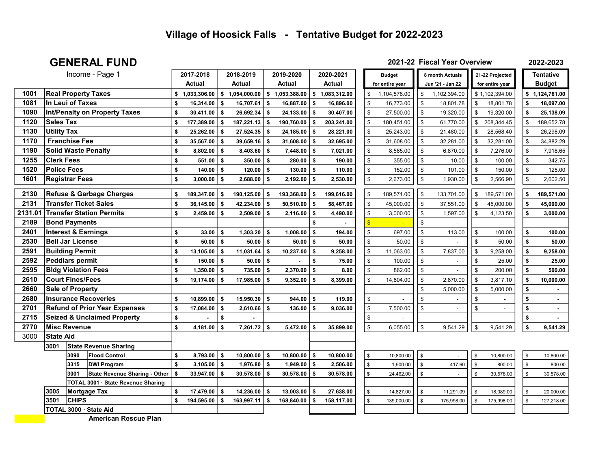#### GENERAL FUND 2021-22 Fiscal Year Overview

2022-2023

|         |                         | Income - Page 1                        | 2017-2018          |      | 2018-2019       |     | 2019-2020      |          | 2020-2021    |                         | <b>Budget</b>   |               | 8 month Actuals  |                    | 21-22 Projected |               | <b>Tentative</b> |
|---------|-------------------------|----------------------------------------|--------------------|------|-----------------|-----|----------------|----------|--------------|-------------------------|-----------------|---------------|------------------|--------------------|-----------------|---------------|------------------|
|         |                         |                                        | Actual             |      | <b>Actual</b>   |     | <b>Actual</b>  |          | Actual       |                         | for entire year |               | Jun '21 - Jan 22 |                    | for entire year |               | <b>Budget</b>    |
| 1001    |                         | <b>Real Property Taxes</b>             | \$<br>1,033,306.00 | \$   | 1,054,000.00    |     | \$1,053,388.00 | \$       | 1,083,312.00 | \$                      | 1,104,578.00    | \$            | 1,102,394.00     |                    | \$1,102,394.00  | \$            | 1,124,761.00     |
| 1081    | In Leui of Taxes        |                                        | \$<br>16,314.00    | s.   | 16,707.61       | \$  | 16,887.00      | l \$     | 16,896.00    | \$                      | 16,773.00       | \$            | 18,801.78        | \$                 | 18,801.78       | \$            | 18,097.00        |
| 1090    |                         | <b>Int/Penalty on Property Taxes</b>   | \$<br>30,411.00    | Ŝ.   | 26,692.34       | \$  | 24,133.00      | l S      | 30,407.00    | \$                      | 27,500.00       | \$            | 19,320.00        | \$                 | 19,320.00       | \$            | 25,138.09        |
| 1120    | <b>Sales Tax</b>        |                                        | \$<br>177,389.00   | \$   | 187,221.13      | \$  | 190,760.00     | l S      | 203,241.00   | \$                      | 180,451.00      | \$            | 61,770.00        | \$                 | 208,344.45      | \$            | 189,652.78       |
| 1130    | <b>Utility Tax</b>      |                                        | \$<br>25,262.00    | \$   | 27,524.35       | \$  | 24,185.00      | l \$     | 28,221.00    | \$                      | 25,243.00       | \$            | 21,480.00        | \$                 | 28,568.40       | \$            | 26,298.09        |
| 1170    | <b>Franchise Fee</b>    |                                        | \$<br>35,567.00    | \$   | 39,659.16       | \$  | 31,608.00 \$   |          | 32,695.00    | \$                      | 31,608.00       | \$            | 32,281.00        | $\mathfrak s$      | 32,281.00       | \$            | 34,882.29        |
| 1190    |                         | <b>Solid Waste Penalty</b>             | \$<br>8,802.00     | \$   | $8,403.60$ \$   |     | $7,448.00$ \$  |          | 7,021.00     | \$                      | 8,585.00        | \$            | 6,870.00         | $\mathfrak s$      | 7,276.00        | \$            | 7,918.65         |
| 1255    | <b>Clerk Fees</b>       |                                        | \$<br>551.00       | s.   | 350.00          | l s | 280.00         | <b>S</b> | 190.00       | \$                      | 355.00          | \$            | 10.00            | $$\mathbb{S}$$     | 100.00          | \$            | 342.75           |
| 1520    | <b>Police Fees</b>      |                                        | \$<br>140.00       | s.   | 120.00          | l s | 130.00         | l s      | 110.00       | \$                      | 152.00          | \$            | 101.00           | \$                 | 150.00          | \$            | 125.00           |
| 1601    | <b>Registrar Fees</b>   |                                        | \$<br>3,000.00     | s.   | 2,688.00        | l s | 2,192.00       | <b>S</b> | 2,530.00     | \$                      | 2,673.00        | \$            | 1,930.00         | $\, \mathbb{S} \,$ | 2,566.90        | \$            | 2,602.50         |
|         |                         |                                        |                    |      |                 |     |                |          |              |                         |                 |               |                  |                    |                 |               |                  |
| 2130    |                         | <b>Refuse &amp; Garbage Charges</b>    | \$<br>189,347.00   | \$   | 190,125.00      | \$  | 193,368.00     | l s      | 199,616.00   | \$                      | 189,571.00      | \$            | 133,701.00       | \$                 | 189,571.00      | \$            | 189,571.00       |
| 2131    |                         | <b>Transfer Ticket Sales</b>           | \$<br>36,145.00    | \$   | 42,234.00       | -S  | 50,510.00      | l \$     | 58,467.00    | \$                      | 45,000.00       | $\mathfrak s$ | 37,551.00        | $\mathfrak s$      | 45,000.00       | \$            | 45,000.00        |
| 2131.01 |                         | <b>Transfer Station Permits</b>        | \$<br>2,459.00     | \$   | $2,509.00$ \$   |     | 2,116.00       | l S      | 4,490.00     | \$                      | 3,000.00        | \$            | 1,597.00         | \$                 | 4,123.50        | \$            | 3,000.00         |
| 2189    | <b>Bond Payments</b>    |                                        |                    |      |                 |     |                |          |              | $\overline{\mathbf{S}}$ |                 | \$            |                  |                    |                 |               |                  |
| 2401    |                         | <b>Interest &amp; Earnings</b>         | \$<br>33.00        | \$   | $1,303.20$ \ \$ |     | 1,008.00       | ۱s       | 194.00       | \$                      | 697.00          | \$            | 113.00           | \$                 | 100.00          | \$            | 100.00           |
| 2530    | <b>Bell Jar License</b> |                                        | \$<br>50.00        | S.   | $50.00$   \$    |     | 50.00          | l s      | 50.00        | \$                      | 50.00           | \$            |                  | \$                 | 50.00           | \$            | 50.00            |
| 2591    | <b>Building Permit</b>  |                                        | \$<br>13,105.00    | Ŝ.   | 11,031.64       | \$  | 10,237.00      | l s      | 9.258.00     | \$                      | 11,063.00       | \$            | 7,837.00         | $\mathfrak s$      | 9,258.00        | \$            | 9,258.00         |
| 2592    | <b>Peddlars permit</b>  |                                        | \$<br>150.00       | s.   | $50.00$   \$    |     |                | S.       | 75.00        | \$                      | 100.00          | \$            |                  | \$                 | 25.00           | \$            | 25.00            |
| 2595    |                         | <b>Bldg Violation Fees</b>             | \$<br>1,350.00     | s.   | 735.00          | \$  | $2,370.00$ \$  |          | 8.00         | \$                      | 862.00          | $\mathbb{S}$  |                  | $\mathfrak s$      | 200.00          | \$            | 500.00           |
| 2610    | <b>Court Fines/Fees</b> |                                        | \$<br>19,174.00    | \$   | 17,985.00       | \$  | 9,352.00       | l s      | 8,399.00     | \$                      | 14,804.00       | \$            | 2,870.00         | $\mathfrak s$      | 3,817.10        | \$            | 10,000.00        |
| 2660    | <b>Sale of Property</b> |                                        |                    |      |                 |     |                |          |              |                         |                 | \$            | 5,000.00         | $\mathfrak s$      | 5.000.00        | \$            |                  |
| 2680    |                         | <b>Insurance Recoveries</b>            | \$<br>10,899.00    | \$   | $15,950.30$ \$  |     | 944.00         | l s      | 119.00       | \$                      |                 | \$            |                  | $\,$               |                 | \$            |                  |
| 2701    |                         | <b>Refund of Prior Year Expenses</b>   | \$<br>17,084.00    | \$   | $2,610.66$ \$   |     | 136.00         | l \$     | 9,036.00     | \$                      | 7,500.00        | \$            |                  | $$\mathbb{S}$$     |                 | \$            |                  |
| 2715    |                         | <b>Seized &amp; Unclaimed Property</b> | \$                 | \$   |                 |     |                |          |              | \$                      |                 |               |                  |                    |                 | \$            |                  |
| 2770    | <b>Misc Revenue</b>     |                                        | \$<br>4,181.00     | - \$ | $7,261.72$ \$   |     | 5,472.00       | l \$     | 35,899.00    | \$                      | 6,055.00        | \$            | 9,541.29         | \$                 | 9,541.29        | \$            | 9,541.29         |
| 3000    | <b>State Aid</b>        |                                        |                    |      |                 |     |                |          |              |                         |                 |               |                  |                    |                 |               |                  |
|         | 3001                    | <b>State Revenue Sharing</b>           |                    |      |                 |     |                |          |              |                         |                 |               |                  |                    |                 |               |                  |
|         | 3090                    | <b>Flood Control</b>                   | \$<br>8,793.00     | Ŝ.   | $10,800.00$ \$  |     | $10,800.00$ \$ |          | 10,800.00    | $\mathbb S$             | 10,800.00       | \$            |                  | $\mathbb S$        | 10,800.00       | \$            | 10,800.00        |
|         | 3315                    | <b>DWI Program</b>                     | \$<br>3,105.00     | \$   | $1,976.80$ \\$  |     | $1,949.00$ \$  |          | 2,506.00     | \$                      | 1,900.00        | $\mathfrak s$ | 417.60           | $\mathfrak s$      | 800.00          | \$            | 800.00           |
|         | 3001                    | <b>State Revenue Sharing - Other</b>   | \$<br>33,947.00    | \$   | $30,578.00$ \$  |     | 30,578.00      | l S      | 30,578.00    | \$                      | 24,462.00       | $\mathfrak s$ |                  | $\mathbb S$        | 30,578.00       | \$            | 30,578.00        |
|         |                         | TOTAL 3001 · State Revenue Sharing     |                    |      |                 |     |                |          |              |                         |                 |               |                  |                    |                 |               |                  |
|         | 3005                    | Mortgage Tax                           | \$<br>17,479.00    | s.   | 14,236.00       | S.  | 13,003.00      | l s      | 27,638.00    | \$                      | 14,827.00       | $\mathfrak s$ | 11,291.09        | \$                 | 18,089.00       | $\mathbf{\$}$ | 20,000.00        |
|         | 3501                    | <b>CHIPS</b>                           | \$<br>194,595.00   |      | 163,997.11      | \$  | 168,840.00     | -S       | 158,117.00   | \$                      | 139,000.00      | $\mathbb{S}$  | 175,998.00       | $\mathbb{S}$       | 175,998.00      | $\mathbf{\$}$ | 127,218.00       |
|         |                         | TOTAL 3000 · State Aid                 |                    |      |                 |     |                |          |              |                         |                 |               |                  |                    |                 |               |                  |

American Rescue Plan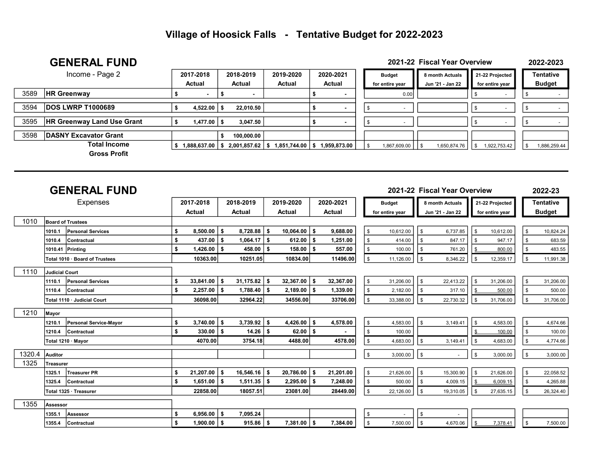|      | <b>GENERAL FUND</b>               |    |                     |              |    |                     |              |  |                 |    | 2021-22 Fiscal Year Overview |                 | 2022-2023     |
|------|-----------------------------------|----|---------------------|--------------|----|---------------------|--------------|--|-----------------|----|------------------------------|-----------------|---------------|
|      | Income - Page 2                   |    | 2017-2018           | 2018-2019    |    | 2019-2020           | 2020-2021    |  | <b>Budget</b>   |    | 8 month Actuals              | 21-22 Projected | Tentative     |
|      |                                   |    | Actual              | Actual       |    | <b>Actual</b>       | Actual       |  | for entire year |    | Jun '21 - Jan 22             | for entire year | <b>Budget</b> |
| 3589 | <b>HR Greenway</b>                |    |                     |              |    |                     |              |  | 0.00            |    |                              |                 |               |
|      |                                   |    |                     |              |    |                     |              |  |                 |    |                              |                 |               |
| 3594 | <b>DOS LWRP T1000689</b>          |    | $4,522.00$   \$     | 22.010.50    |    |                     |              |  |                 |    |                              |                 |               |
| 3595 | <b>HR Greenway Land Use Grant</b> |    | $1,477.00$ \ \$     | 3.047.50     |    |                     |              |  |                 |    |                              |                 |               |
| 3598 | DASNY Excavator Grant             |    |                     | 100,000.00   |    |                     |              |  |                 |    |                              |                 |               |
|      | <b>Total Income</b>               | -S | $1,888,637.00$   \$ | 2,001,857.62 | -S | $1,851,744.00$ \ \$ | 1,959,873.00 |  | 1,867,609.00    | ΙS | 1,650,874.76                 | 1,922,753.42    | 1,886,259.44  |
|      | <b>Gross Profit</b>               |    |                     |              |    |                     |              |  |                 |    |                              |                 |               |

|        |                       | <b>GENERAL FUND</b>            |     |                     |      |                  |      |                |           |               |                 |      | 2021-22 Fiscal Year Overview |     |                 |            | 2022-23          |
|--------|-----------------------|--------------------------------|-----|---------------------|------|------------------|------|----------------|-----------|---------------|-----------------|------|------------------------------|-----|-----------------|------------|------------------|
|        |                       | Expenses                       |     | 2017-2018           |      | 2018-2019        |      | 2019-2020      | 2020-2021 |               | <b>Budget</b>   |      | 8 month Actuals              |     | 21-22 Projected |            | <b>Tentative</b> |
|        |                       |                                |     | Actual              |      | <b>Actual</b>    |      | Actual         | Actual    |               | for entire year |      | Jun '21 - Jan 22             |     | for entire year |            | <b>Budget</b>    |
| 1010   |                       | <b>Board of Trustees</b>       |     |                     |      |                  |      |                |           |               |                 |      |                              |     |                 |            |                  |
|        | 1010.1                | Personal Services              | \$  | $8,500.00$ \ \$     |      | $8,728.88$ \ \$  |      | $10,064.00$ \$ | 9,688.00  | \$            | 10,612.00       | \$   | 6,737.85                     |     | 10,612.00       | \$         | 10,824.24        |
|        | 1010.4                | Contractual                    | \$  | $437.00$ \\$        |      | $1,064.17$ \$    |      | $612.00$ \$    | 1,251.00  | $\mathfrak s$ | 414.00          | \$   | 847.17                       |     | 947.17          | <b>S</b>   | 683.59           |
|        |                       | 1010.41 Printing               | \$  | $1,426.00$ \$       |      | $458.00$   \$    |      | $158.00$ \$    | 557.00    | \$            | 100.00          | \$.  | 761.20                       |     | 800.00          | <b>S</b>   | 483.55           |
|        |                       | Total 1010 · Board of Trustees |     | 10363.00            |      | 10251.05         |      | 10834.00       | 11496.00  | $\frac{1}{2}$ | 11,126.00       | \$   | 8,346.22                     |     | 12,359.17       | \$         | 11,991.38        |
| 1110   | <b>Judicial Court</b> |                                |     |                     |      |                  |      |                |           |               |                 |      |                              |     |                 |            |                  |
|        | 1110.1                | <b>Personal Services</b>       | S   | $33,841.00$ \$      |      | $31,175.82$   \$ |      | $32,367.00$ \$ | 32,367.00 | \$            | 31,206.00       | \$   | 22,413.22                    |     | 31,206.00       | \$         | 31,206.00        |
|        | 1110.4                | Contractual                    | \$  | $2,257.00$ \$       |      | $1,788.40$ \ \$  |      | $2,189.00$ \$  | 1,339.00  | \$            | 2,182.00        | \$.  | 317.10                       |     | 500.00          | \$         | 500.00           |
|        |                       | Total 1110 · Judicial Court    |     | 36098.00            |      | 32964.22         |      | 34556.00       | 33706.00  | $\sqrt{3}$    | 33,388.00       | \$   | 22,730.32                    | \$. | 31,706.00       | <b>S</b>   | 31,706.00        |
| 1210   | Mayor                 |                                |     |                     |      |                  |      |                |           |               |                 |      |                              |     |                 |            |                  |
|        | 1210.1                | Personal Service-Mayor         | \$  | 3,740.00            | l \$ | 3,739.92         | - \$ | $4,426.00$ \$  | 4,578.00  | \$            | 4,583.00        | \$   | 3,149.41                     |     | 4,583.00        | \$         | 4,674.66         |
|        | 1210.4                | Contractual                    | \$  | $330.00$   \$       |      | $14.26$   \$     |      | $62.00$   \$   |           | \$            | 100.00          |      |                              |     | 100.00          | \$         | 100.00           |
|        |                       | Total 1210 · Mayor             |     | 4070.00             |      | 3754.18          |      | 4488.00        | 4578.00   | $\sqrt{3}$    | 4,683.00        | \$   | 3,149.41                     |     | 4,683.00        | $\sqrt{3}$ | 4,774.66         |
| 1320.4 | Auditor               |                                |     |                     |      |                  |      |                |           | $\sqrt{2}$    | 3,000.00        | l \$ |                              | \$  | 3,000.00        | \$         | 3,000.00         |
| 1325   | Treasurer             |                                |     |                     |      |                  |      |                |           |               |                 |      |                              |     |                 |            |                  |
|        | 1325.1                | <b>Treasurer PR</b>            | -\$ | $21,207.00$ \$      |      | $16,546.16$ \$   |      | $20,786.00$ \$ | 21,201.00 | \$،           | 21,626.00       | \$   | 15,300.90                    |     | 21,626.00       | \$         | 22,058.52        |
|        | 1325.4                | Contractual                    | \$  | $1,651.00$   \$     |      | $1,511.35$   \$  |      | $2,295.00$ \$  | 7,248.00  | \$            | 500.00          | \$   | 4,009.15                     |     | 6,009.15        | \$         | 4,265.88         |
|        |                       | Total 1325 · Treasurer         |     | 22858.00            |      | 18057.51         |      | 23081.00       | 28449.00  | $\sqrt{3}$    | 22,126.00       | \$   | 19,310.05                    | \$  | 27,635.15       | \$         | 26,324.40        |
| 1355   | Assessor              |                                |     |                     |      |                  |      |                |           |               |                 |      |                              |     |                 |            |                  |
|        | 1355.1                | lAssessor                      | \$  | 6,956.00 $\vert$ \$ |      | 7,095.24         |      |                |           | \$            | $\sim$          | \$   |                              |     |                 |            |                  |
|        | 1355.4                | Contractual                    | \$  | $1,900.00$ \$       |      | $915.86$   \$    |      | $7,381.00$ \$  | 7,384.00  | . \$          | 7,500.00        | \$   | 4,670.06                     |     | 7,378.41        | \$         | 7,500.00         |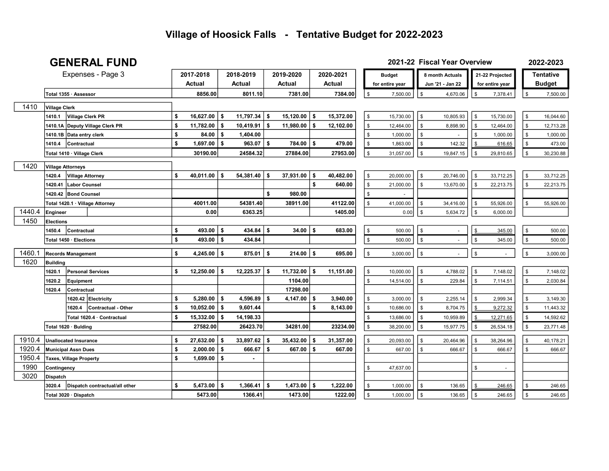#### GENERAL FUND

 $\sqrt{ }$ 

 $\sqrt{2}$ 

2022-2023 2021-22 Fiscal Year Overview

|        |                            |                                 | Expenses - Page 3               | 2017-2018                    |          | 2018-2019      |      | 2019-2020     |          | 2020-2021 |               | <b>Budget</b>   |               | 8 month Actuals  |                    | 21-22 Projected          |                | <b>Tentative</b>   |
|--------|----------------------------|---------------------------------|---------------------------------|------------------------------|----------|----------------|------|---------------|----------|-----------|---------------|-----------------|---------------|------------------|--------------------|--------------------------|----------------|--------------------|
|        |                            |                                 |                                 | <b>Actual</b>                |          | <b>Actual</b>  |      | <b>Actual</b> |          | Actual    |               | for entire year |               | Jun '21 - Jan 22 |                    | for entire year          |                | <b>Budget</b>      |
|        | Total 1355 · Assessor      |                                 |                                 | 8856.00                      |          | 8011.10        |      | 7381.00       |          | 7384.00   | \$            | 7,500.00        | $\sqrt[6]{2}$ | 4,670.06         | \$                 | 7,378.41                 | \$             | 7,500.00           |
| 1410   | <b>Village Clerk</b>       |                                 |                                 |                              |          |                |      |               |          |           |               |                 |               |                  |                    |                          |                |                    |
|        | 1410.1                     | <b>Village Clerk PR</b>         |                                 | \$<br>16,627.00              | Ŝ.       | 11,797.34      | -\$  | 15,120.00     | - \$     | 15,372.00 | \$            | 15,730.00       | \$            | 10,805.93        | \$                 | 15,730.00                | \$             | 16,044.60          |
|        | 1410.1A                    |                                 | Deputy Village Clerk PR         | \$<br>11.782.00              | Ŝ.       | 10,419.91      | Ŝ.   | 11,980.00     | - \$     | 12,102.00 | \$            | 12,464.00       | \$            | 8,898.90         | \$                 | 12,464.00                | \$             | 12,713.28          |
|        | 1410.1B                    |                                 |                                 | \$<br>84.00                  | \$       | 1,404.00       |      |               |          |           | \$            |                 | \$            |                  | \$                 | 1,000.00                 |                |                    |
|        | 1410.4                     | Data entry clerk<br>Contractual |                                 | \$<br>1,697.00               | S.       | 963.07         | -S   | $784.00$ \$   |          | 479.00    | \$            | 1,000.00        | \$            |                  |                    |                          | \$<br>\$       | 1,000.00<br>473.00 |
|        |                            |                                 |                                 |                              |          |                |      |               |          |           |               | 1,863.00        |               | 142.32           |                    | 616.65                   |                |                    |
|        | Total 1410 · Village Clerk |                                 |                                 | 30190.00                     |          | 24584.32       |      | 27884.00      |          | 27953.00  | $\mathfrak s$ | 31,057.00       | $\mathfrak s$ | 19,847.15        | \$                 | 29,810.65                | \$             | 30,230.88          |
| 1420   | <b>Village Attorneys</b>   |                                 |                                 |                              |          |                |      |               |          |           |               |                 |               |                  |                    |                          |                |                    |
|        | 1420.4                     | <b>Village Attorney</b>         |                                 | \$<br>40,011.00              | - \$     | 54,381.40      | -\$  | 37,931.00     | \$       | 40,482.00 | \$            | 20,000.00       | \$            | 20,746.00        | \$                 | 33,712.25                | \$             | 33,712.25          |
|        |                            | 1420.41 Labor Counsel           |                                 |                              |          |                |      |               | \$       | 640.00    | \$            | 21,000.00       | \$            | 13,670.00        | <b>S</b>           | 22,213.75                | $\mathfrak{L}$ | 22,213.75          |
|        |                            | 1420.42 Bond Counsel            |                                 |                              |          |                | \$   | 980.00        |          |           | \$            |                 |               |                  |                    |                          |                |                    |
|        |                            |                                 | Total 1420.1 · Village Attorney | 40011.00                     |          | 54381.40       |      | 38911.00      |          | 41122.00  | \$            | 41,000.00       | \$            | 34,416.00        | \$                 | 55,926.00                | $\mathfrak{L}$ | 55,926.00          |
| 1440.4 | Engineer                   |                                 |                                 | 0.00                         |          | 6363.25        |      |               |          | 1405.00   |               | 0.00            | \$            | 5,634.72         | \$                 | 6,000.00                 |                |                    |
| 1450   | Elections                  |                                 |                                 |                              |          |                |      |               |          |           |               |                 |               |                  |                    |                          |                |                    |
|        | 1450.4                     | Contractual                     |                                 | \$<br>$493.00$   \$          |          | 434.84         | -S   | $34.00$   \$  |          | 683.00    | \$            | 500.00          | \$            |                  |                    | 345.00                   | \$             | 500.00             |
|        |                            | Total 1450 · Elections          |                                 | \$<br>493.00 \$              |          | 434.84         |      |               |          |           | \$            | 500.00          | $\sqrt{3}$    |                  | \$                 | 345.00                   | \$             | 500.00             |
| 1460.1 | <b>Records Management</b>  |                                 |                                 | \$<br>4,245.00 $\frac{1}{2}$ |          | 875.01         | -\$  | 214.00        | <b>S</b> | 695.00    | \$            | 3,000.00        | $\sqrt{3}$    | $\sim$           | \$                 | $\mathbf{r}$             | \$             | 3,000.00           |
| 1620   | <b>Building</b>            |                                 |                                 |                              |          |                |      |               |          |           |               |                 |               |                  |                    |                          |                |                    |
|        | 1620.1                     |                                 | <b>Personal Services</b>        | \$<br>12,250.00              | <b>S</b> | 12,225.37      | - \$ | 11,732.00     | - \$     | 11,151.00 | \$            | 10,000.00       | \$            | 4,788.02         | \$                 | 7,148.02                 | \$             | 7,148.02           |
|        | 1620.2                     | Equipment                       |                                 |                              |          |                |      | 1104.00       |          |           | \$            | 14,514.00       | \$            | 229.84           | \$                 | 7,114.51                 | \$             | 2,030.84           |
|        | 1620.4                     | Contractual                     |                                 |                              |          |                |      | 17298.00      |          |           |               |                 |               |                  |                    |                          |                |                    |
|        |                            |                                 | 1620.42 Electricity             | \$<br>5.280.00               | \$       | 4,596.89       | S.   | 4,147.00      | - \$     | 3,940.00  | \$            | 3,000.00        | \$            | 2,255.14         | \$                 | 2,999.34                 | \$             | 3,149.30           |
|        |                            | 1620.4                          | <b>Contractual - Other</b>      | \$<br>10,052.00              | - \$     | 9,601.44       |      |               | \$       | 8,143.00  | \$            | 10,686.00       | \$            | 8,704.75         |                    | 9,272.32                 | \$             | 11,443.32          |
|        |                            |                                 | Total 1620.4 · Contractual      | \$<br>15,332.00              | <b>S</b> | 14,198.33      |      |               |          |           | \$            | 13,686.00       | \$            | 10,959.89        |                    | 12,271.65                | \$             | 14,592.62          |
|        | Total 1620 · Bulding       |                                 |                                 | 27582.00                     |          | 26423.70       |      | 34281.00      |          | 23234.00  | $\sqrt[6]{2}$ | 38,200.00       | \$            | 15,977.75        | \$                 | 26,534.18                | \$             | 23,771.48          |
| 1910.4 | Unallocated Insurance      |                                 |                                 | \$<br>27,632.00              | Ŝ.       | 33,897.62      | - \$ | 35,432.00     | \$       | 31,357.00 | \$            | 20,093.00       | \$            | 20,464.96        | $\mathbf{\hat{z}}$ | 38,264.96                | \$             | 40,178.21          |
| 1920.4 |                            | <b>Municipal Assn Dues</b>      |                                 | \$<br>2,000.00               | S.       | 666.67         | S.   | 667.00        | \$       | 667.00    | \$            | 667.00          | \$            | 666.67           | $\mathbf{\$}$      | 666.67                   | $\mathbf{s}$   | 666.67             |
| 1950.4 |                            | <b>Taxes, Village Property</b>  |                                 | \$<br>1,699.00               | \$       | $\blacksquare$ |      |               |          |           |               |                 |               |                  |                    |                          |                |                    |
| 1990   | Contingency                |                                 |                                 |                              |          |                |      |               |          |           | \$            | 47,637.00       |               |                  | \$                 | $\overline{\phantom{a}}$ |                |                    |
| 3020   | <b>Dispatch</b>            |                                 |                                 |                              |          |                |      |               |          |           |               |                 |               |                  |                    |                          |                |                    |
|        | 3020.4                     |                                 | Dispatch contractual/all other  | \$<br>5,473.00               | \$       | 1,366.41       | -\$  | 1,473.00      | -S       | 1,222.00  | \$            | 1,000.00        | \$            | 136.65           |                    | 246.65                   |                | 246.65             |
|        |                            | Total 3020 · Dispatch           |                                 | 5473.00                      |          | 1366.41        |      | 1473.00       |          | 1222.00   | $\mathfrak s$ | 1,000.00        | l \$          | 136.65           | <b>S</b>           | 246.65                   | \$             | 246.65             |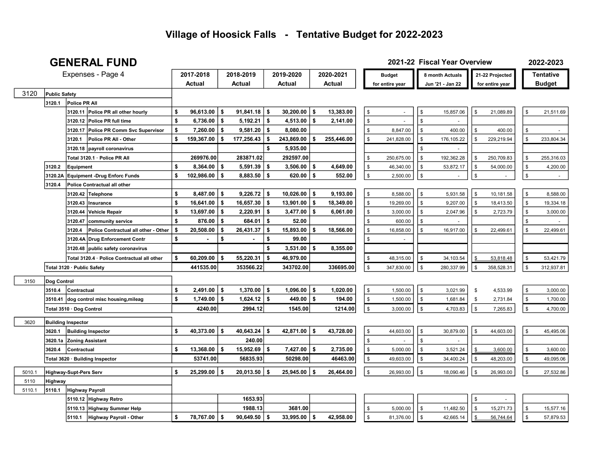#### GENERAL FUND 2021-22 Fiscal Year Overview

2022-2023

|        |                      | ULIILINAL I UIID                               |                        |          |                 |          |                        |     |            |                |                 |                | $1$ 1968 1681 $\sqrt{6}$ 1965 1 |                |                 |                | ZUZZ–ZUZJ        |
|--------|----------------------|------------------------------------------------|------------------------|----------|-----------------|----------|------------------------|-----|------------|----------------|-----------------|----------------|---------------------------------|----------------|-----------------|----------------|------------------|
|        |                      | Expenses - Page 4                              | 2017-2018              |          | 2018-2019       |          | 2019-2020              |     | 2020-2021  |                | <b>Budget</b>   |                | 8 month Actuals                 |                | 21-22 Projected |                | <b>Tentative</b> |
|        |                      |                                                | Actual                 |          | Actual          |          | Actual                 |     | Actual     |                | for entire year |                | Jun '21 - Jan 22                |                | for entire year |                | <b>Budget</b>    |
| 3120   | <b>Public Safety</b> |                                                |                        |          |                 |          |                        |     |            |                |                 |                |                                 |                |                 |                |                  |
|        | 3120.1               | Police PR All                                  |                        |          |                 |          |                        |     |            |                |                 |                |                                 |                |                 |                |                  |
|        |                      | 3120.11 Police PR all other hourly             | \$<br>$96,613.00$   \$ |          | 91,841.18       | l \$     | $30,200.00$ \$         |     | 13,383.00  | \$             |                 | \$             | 15,857.06                       | \$             | 21,089.89       | \$             | 21,511.69        |
|        |                      | 3120.12 Police PR full time                    | \$<br>6,736.00         | \$       | 5,192.21        | \$       | 4,513.00 $\frac{1}{2}$ |     | 2,141.00   | $\mathfrak s$  |                 | \$             |                                 |                |                 |                |                  |
|        |                      | 3120.17 Police PR Comm Svc Supervisor          | \$<br>7,260.00         | \$       | 9,581.20        | -\$      | 8,080.00               |     |            | \$             | 8,847.00        | \$             | 400.00                          | \$             | 400.00          | \$             |                  |
|        |                      | Police PR All - Other<br>3120.1                | \$<br>159,367.00       | \$       | 177,256.43      | \$       | 243,869.00             | \$  | 255,446.00 | \$             | 241,828.00      | \$             | 176,105.22                      | \$             | 229,219.94      | \$             | 233,804.34       |
|        |                      | 3120.18 payroll coronavirus                    |                        |          |                 | \$       | 5,935.00               |     |            |                |                 |                |                                 |                |                 |                |                  |
|        |                      | Total 3120.1 · Police PR All                   | 269976.00              |          | 283871.02       |          | 292597.00              |     |            | \$             | 250,675.00      | \$             | 192,362.28                      | \$             | 250,709.83      | \$             | 255,316.03       |
|        | 3120.2               | Equipment                                      | \$<br>$8,364.00$ \ \$  |          | 5,591.39        | <b>S</b> | $3,506.00$ \$          |     | 4,649.00   | \$             | 46,340.00       | \$             | 53,872.17                       | \$             | 54,000.00       | \$             | 4,200.00         |
|        | 3120.2A              | <b>Equipment -Drug Enforc Funds</b>            | \$<br>102,986.00       | \$       | 8,883.50        | l \$     | $620.00$ \ \$          |     | 552.00     | $$\mathbb{S}$$ | 2,500.00        | $$\mathbb{S}$$ |                                 | $$\mathbb{S}$$ | $\blacksquare$  | \$             | $\sim$           |
|        | 3120.4               | Police Contractual all other                   |                        |          |                 |          |                        |     |            |                |                 |                |                                 |                |                 |                |                  |
|        |                      | 3120.42<br>Telephone                           | \$<br>$8,487.00$ \$    |          | 9,226.72        | l \$     | $10,026.00$ \$         |     | 9,193.00   | \$             | 8,588.00        | \$             | 5,931.58                        | \$             | 10,181.58       | \$             | 8,588.00         |
|        |                      | 3120.43<br>Insurance                           | \$<br>$16,641.00$ \$   |          | 16,657.30       | \$       | $13,901.00$   \$       |     | 18,349.00  | \$             | 19,269.00       | \$             | 9,207.00                        | \$             | 18,413.50       | \$             | 19,334.18        |
|        |                      | Vehicle Repair<br>3120.44                      | \$<br>13,697.00        | \$       | 2,220.91        | \$       | $3,477.00$ \$          |     | 6,061.00   | \$             | 3,000.00        | \$             | 2,047.96                        | \$             | 2,723.79        | \$             | 3,000.00         |
|        |                      | 3120.47<br>community service                   | \$<br>876.00           | s.       | 684.01          | \$       | 52.00                  |     |            | \$             | 600.00          | \$             |                                 |                |                 | \$             |                  |
|        |                      | Police Contractual all other - Other<br>3120.4 | \$<br>20,508.00        | \$       | 26,431.37       | \$       | 15,893.00              | -S  | 18,566.00  | \$             | 16,858.00       |                | 16,917.00                       | \$             | 22,499.61       | \$             | 22,499.61        |
|        |                      | 3120.4A Drug Enforcement Contr                 | \$                     | \$       |                 | \$       | 99.00                  |     |            | \$             |                 |                |                                 |                |                 |                |                  |
|        |                      | 3120.48 public safety coronavirus              |                        |          |                 | \$       | $3,531.00$ \$          |     | 8,355.00   |                |                 |                |                                 |                |                 |                |                  |
|        |                      | Total 3120.4 · Police Contractual all other    | \$<br>60,209.00        | \$       | 55,220.31       | - \$     | 46,979.00              |     |            | \$             | 48,315.00       | \$             | 34,103.54                       | \$             | 53,818.48       | $\sqrt[6]{2}$  | 53,421.79        |
|        |                      | Total 3120 · Public Safety                     | 441535.00              |          | 353566.22       |          | 343702.00              |     | 336695.00  | \$             | 347,830.00      | <b>S</b>       | 280,337.99                      | \$             | 358,528.31      | \$             | 312,937.81       |
|        |                      |                                                |                        |          |                 |          |                        |     |            |                |                 |                |                                 |                |                 |                |                  |
| 3150   | Dog Control          |                                                |                        |          |                 |          |                        |     |            |                |                 |                |                                 |                |                 |                |                  |
|        | 3510.4               | Contractual                                    | \$<br>$2,491.00$ \ \$  |          | $1,370.00$   \$ |          | $1,096.00$ \$          |     | 1,020.00   | \$             | 1,500.00        | \$             | 3,021.99                        | \$             | 4,533.99        | \$             | 3,000.00         |
|        | 3510.41              | dog control misc housing, mileag               | \$<br>$1,749.00$ \ \$  |          | 1,624.12        | ∣\$      | $449.00$ \ \$          |     | 194.00     | \$             | 1,500.00        | \$             | 1,681.84                        | \$             | 2,731.84        | \$             | 1,700.00         |
|        |                      | Total 3510 · Dog Control                       | 4240.00                |          | 2994.12         |          | 1545.00                |     | 1214.00    | \$             | 3,000.00        | \$             | 4,703.83                        | $\,$           | 7,265.83        | $\sqrt[6]{2}$  | 4,700.00         |
| 3620   |                      | <b>Building Inspector</b>                      |                        |          |                 |          |                        |     |            |                |                 |                |                                 |                |                 |                |                  |
|        | 3620.1               | <b>Building Inspector</b>                      | \$<br>40,373.00        | l \$     | 40,643.24       | ∣\$      | 42,871.00 \$           |     | 43,728.00  | \$             | 44,603.00       | \$             | 30,879.00                       | \$             | 44,603.00       | \$             | 45,495.06        |
|        | 3620.1a              | <b>Zoning Assistant</b>                        |                        |          | 240.00          |          |                        |     |            | \$             |                 | \$             |                                 |                |                 |                |                  |
|        | 3620.4               | Contractual                                    | \$<br>13,368.00        | s.       | 15,952.69       | - \$     | 7,427.00               | -\$ | 2,735.00   | \$             | 5,000.00        |                | 3,521.24                        |                | 3,600.00        | \$             | 3,600.00         |
|        |                      | Total 3620 · Building Inspector                | 53741.00               |          | 56835.93        |          | 50298.00               |     | 46463.00   | \$             | 49,603.00       | $\mathbf{\$}$  | 34,400.24                       | \$             | 48,203.00       | \$             | 49,095.06        |
| 5010.1 |                      | <b>Highway-Supt-Pers Serv</b>                  | \$<br>$25,299.00$ \$   |          | 20,013.50       | l s      | $25,945.00$ \$         |     | 26,464.00  | $\mathfrak s$  | 26,993.00       | $\mathfrak s$  | 18,090.46                       | $$\mathbb{S}$$ | 26,993.00       | $\mathfrak{s}$ | 27,532.86        |
| 5110   | Highway              |                                                |                        |          |                 |          |                        |     |            |                |                 |                |                                 |                |                 |                |                  |
| 5110.1 | 5110.1               | <b>Highway Payroll</b>                         |                        |          |                 |          |                        |     |            |                |                 |                |                                 |                |                 |                |                  |
|        |                      | 5110.12 Highway Retro                          |                        |          | 1653.93         |          |                        |     |            |                |                 |                |                                 | \$             |                 |                |                  |
|        |                      | 5110.13 Highway Summer Help                    |                        |          | 1988.13         |          | 3681.00                |     |            | \$             | 5,000.00        | \$             | 11,482.50                       | \$             | 15,271.73       | \$             | 15,577.16        |
|        |                      | 5110.1<br>Highway Payroll - Other              | \$<br>78,767.00        | <b>S</b> | 90.649.50       | ∣\$      | $33.995.00$ \ \$       |     | 42,958.00  | $\mathbf{\$}$  | 81,376.00       | $\sqrt{s}$     | 42,665.14                       | \$             | 56,744.64       | \$             | 57,879.53        |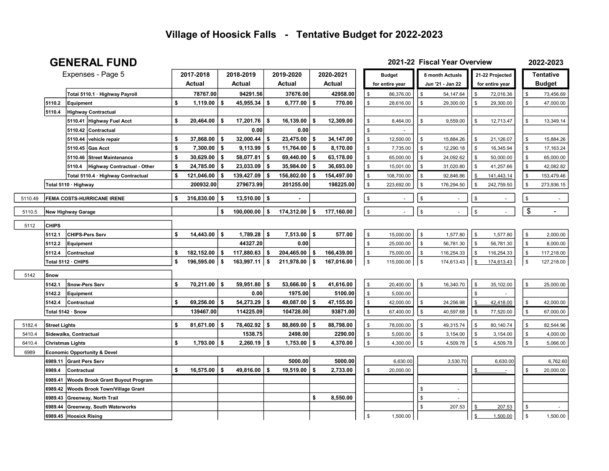#### GENERAL FUND 2021-22 Fiscal Year Overview

2022-2023

|         |                         | Expenses - Page 5                            | 2017-2018               | 2018-2019               | 2019-2020       |      | 2020-2021  | <b>Budget</b>                              |    | 8 month Actuals  |               | 21-22 Projected |                         | <b>Tentative</b> |
|---------|-------------------------|----------------------------------------------|-------------------------|-------------------------|-----------------|------|------------|--------------------------------------------|----|------------------|---------------|-----------------|-------------------------|------------------|
|         |                         |                                              | Actual                  | Actual                  | Actual          |      | Actual     | for entire year                            |    | Jun '21 - Jan 22 |               | for entire year |                         | <b>Budget</b>    |
|         |                         | Total 5110.1 · Highway Payroll               | 78767.00                | 94291.56                | 37676.00        |      | 42958.00   | \$<br>86,376.00                            | \$ | 54,147.64        | \$            | 72,016.36       | \$                      | 73,456.69        |
|         | 5110.2                  | Equipment                                    | \$<br>$1,119.00$   \$   | $45,955.34$   \$        | 6,777.00        | S.   | 770.00     | \$<br>28,616.00                            | \$ | 29,300.00        | \$            | 29,300.00       | \$                      | 47,000.00        |
|         | 5110.4                  | <b>Highway Contractual</b>                   |                         |                         |                 |      |            |                                            |    |                  |               |                 |                         |                  |
|         |                         | 5110.41 Highway Fuel Acct                    | \$<br>$20,464.00$   \$  | $17,201.76$ \ \$        | 16,139.00       | s.   | 12,309.00  | \$<br>8,464.00                             | \$ | 9,559.00         | \$            | 12,713.47       | \$                      | 13,349.14        |
|         |                         | 5110.42<br>Contractual                       |                         | 0.00                    | 0.00            |      |            | \$                                         |    |                  |               |                 |                         |                  |
|         |                         | vehicle repair<br>5110.44                    | \$<br>$37,868.00$ \$    | $32,000.44$ \ \$        | 23,475.00       | \$   | 34,147.00  | \$<br>12,500.00                            | \$ | 15,884.26        | $\sqrt[6]{3}$ | 21,126.07       | \$                      | 15,884.26        |
|         |                         | 5110.45<br>Gas Acct                          | \$<br>$7,300.00$   \$   | $9,113.99$   \$         | 11,764.00       | -\$  | 8,170.00   | \$<br>7,735.00                             | \$ | 12,290.18        | \$            | 16,345.94       | \$                      | 17,163.24        |
|         |                         | <b>Street Maintenance</b><br>5110.46         | \$<br>$30,629.00$ \$    | $58,077.81$ \\$         | 69,440.00       | \$   | 63,178.00  | $\,$<br>65,000.00                          | \$ | 24,092.62        | $\sqrt[6]{3}$ | 50,000.00       | \$                      | 65,000.00        |
|         |                         | 5110.4<br><b>Highway Contractual - Other</b> | \$<br>$24,785.00$ \$    | $23,033.09$ \\$         | 35,984.00       | \$   | 36,693.00  | $\,$<br>15,001.00                          | \$ | 31,020.80        | $\sqrt[6]{3}$ | 41,257.66       | \$                      | 42,082.82        |
|         |                         | Total 5110.4 · Highway Contractual           | \$<br>$121,046.00$ \ \$ | $139,427.09$ \$         | 156,802.00      | -\$  | 154,497.00 | $\,$<br>108,700.00                         | \$ | 92,846.86        | \$            | 141,443.14      | \$                      | 153,479.46       |
|         |                         | Total 5110 · Highway                         | 200932.00               | 279673.99               | 201255.00       |      | 198225.00  | $\,$<br>223,692.00                         | \$ | 176,294.50       | \$            | 242,759.50      | \$                      | 273,936.15       |
|         |                         |                                              |                         |                         |                 |      |            |                                            |    |                  |               |                 |                         |                  |
| 5110.49 |                         | FEMA COSTS-HURRICANE IRENE                   | \$<br>$316,830.00$ \$   | $13,510.00$ \$          |                 |      |            | $\,$<br>$\blacksquare$                     | \$ |                  | $\sqrt{2}$    | $\blacksquare$  | \$                      | $\sim$           |
| 5110.5  |                         | New Highway Garage                           |                         | \$<br>$100,000.00$   \$ | 174,312.00      | \$   | 177,160.00 | $$\mathbb{S}$$<br>$\overline{\phantom{a}}$ | \$ |                  | $\,$          | $\mathbb{Z}^2$  | $\sqrt[6]{\frac{1}{2}}$ | $\sim$           |
| 5112    | <b>CHIPS</b>            |                                              |                         |                         |                 |      |            |                                            |    |                  |               |                 |                         |                  |
|         | 5112.1                  | <b>CHIPS-Pers Serv</b>                       | \$<br>$14,443.00$ \ \$  | $1,789.28$ \ \$         | $7,513.00$ \$   |      | 577.00     | $$\mathbb{S}$$<br>15,000.00                | \$ | 1,577.80         | $\sqrt[6]{3}$ | 1,577.80        | \$                      | 2,000.00         |
|         | 5112.2                  | Equipment                                    |                         | 44327.20                | 0.00            |      |            | $$\mathbb{S}$$<br>25,000.00                | \$ | 56,781.30        | $\mathfrak s$ | 56,781.30       | \$                      | 8,000.00         |
|         | 5112.4                  | <b>Contractual</b>                           | \$<br>$182,152.00$ \ \$ | $117,880.63$ \$         | 204,465.00      | -\$  | 166,439.00 | \$<br>75,000.00                            | \$ | 116,254.33       | $\sqrt{3}$    | 116,254.33      | \$                      | 117,218.00       |
|         |                         | Total 5112 · CHIPS                           | \$<br>$196,595.00$ \$   | $163,997.11$ \$         | $211,978.00$ \$ |      | 167,016.00 | $$\mathfrak{S}$$<br>115,000.00             | \$ | 174,613.43       | \$            | 174,613.43      | $\mathfrak{S}$          | 127,218.00       |
| 5142    | Snow                    |                                              |                         |                         |                 |      |            |                                            |    |                  |               |                 |                         |                  |
|         | 5142.1                  | Snow-Pers Serv                               | \$<br>$70,211.00$   \$  | $59,951.80$ \\$         | $53,666.00$ \$  |      | 41,616.00  | \$<br>20,400.00                            | \$ | 16,340.70        | $\sqrt{3}$    | 35,102.00       | \$                      | 25,000.00        |
|         | 5142.2                  | <b>Equipment</b>                             |                         | 0.00                    | 1975.00         |      | 5100.00    | $\frac{1}{2}$<br>5,000.00                  |    |                  | \$            |                 |                         |                  |
|         | 5142.4                  | Contractual                                  | \$<br>$69,256.00$ \ \$  | $54,273.29$ \\$         | 49,087.00       | \$   | 47,155.00  | $$\mathbb{S}$$<br>42,000.00                | \$ | 24,256.98        | \$            | 42,418.00       | \$                      | 42,000.00        |
|         | Total 5142 · Snow       |                                              | 139467.00               | 114225.09               | 104728.00       |      | 93871.00   | $\,$<br>67,400.00                          | \$ | 40,597.68        | $\sqrt[3]{5}$ | 77,520.00       | \$                      | 67,000.00        |
| 5182.4  | <b>Street Lights</b>    |                                              | \$<br>$81,671.00$   \$  | 78,402.92 \$            | 88,869.00       | - \$ | 88,798.00  | $$\mathbb{S}$$<br>78,000.00                | \$ | 49,315.74        | $\sqrt{3}$    | 80,140.74       | \$                      | 82,544.96        |
| 5410.4  |                         | Sidewalks, Contractual                       |                         | 1538.75                 | 2498.00         |      | 2290.00    | $$\mathbb{S}$$<br>5,000.00                 | \$ | 3,154.00         | $\sqrt{3}$    | 3,154.00        | \$                      | 4,000.00         |
| 6410.4  | <b>Christmas Lights</b> |                                              | \$<br>$1,793.00$ \ \$   | $2,260.19$ \$           | 1,753.00        | -S   | 4,370.00   | $$\mathbb{S}$$<br>4,300.00                 | \$ | 4,509.78         | $\mathfrak s$ | 4,509.78        | $\mathfrak{S}$          | 5,066.00         |
| 6989    |                         | <b>Economic Opportunity &amp; Devel</b>      |                         |                         |                 |      |            |                                            |    |                  |               |                 |                         |                  |
|         | 6989.11                 | <b>Grant Pers Serv</b>                       |                         |                         | 5000.00         |      | 5000.00    | 6,630.00                                   |    | 3,530.70         |               | 6,630.00        |                         | 6,762.60         |
|         | 6989.4                  | Contractual                                  | \$<br>$16,575.00$   \$  | 49,816.00 \$            | 19,519.00       | -\$  | 2,733.00   | \$<br>20,000.00                            |    |                  | \$            |                 | \$                      | 20,000.00        |
|         | 6989.41                 | <b>Woods Brook Grant Buyout Program</b>      |                         |                         |                 |      |            |                                            |    |                  |               |                 |                         |                  |
|         | 6989.42                 | <b>Woods Brook Town/Village Grant</b>        |                         |                         |                 |      |            |                                            | \$ | ÷,               |               |                 |                         |                  |
|         | 6989.43                 | Greenway, North Trail                        |                         |                         |                 | \$   | 8,550.00   |                                            | \$ |                  |               |                 |                         |                  |
|         | 6989.44                 | Greenway, South Waterworks                   |                         |                         |                 |      |            |                                            | \$ | 207.53           |               | 207.53          | \$                      |                  |
|         |                         | 6989.45 Hoosick Rising                       |                         |                         |                 |      |            | \$<br>1,500.00                             |    |                  | \$            | 1,500.00        | $\mathbb{S}$            | 1,500.00         |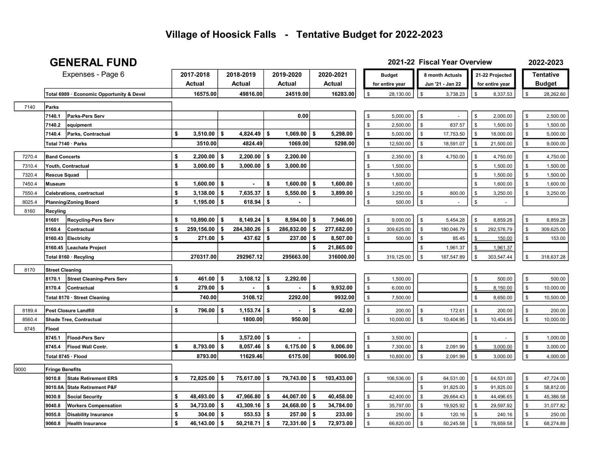## GENERAL FUND

#### 2022-2023 2021-22 Fiscal Year Overview

|        | Expenses - Page 6                          | 2017-2018        |     | 2018-2019            |    | 2019-2020      |     | 2020-2021  |                | <b>Budget</b>   |              | 8 month Actuals  |                | 21-22 Projected |               | <b>Tentative</b> |
|--------|--------------------------------------------|------------------|-----|----------------------|----|----------------|-----|------------|----------------|-----------------|--------------|------------------|----------------|-----------------|---------------|------------------|
|        |                                            | Actual           |     | Actual               |    | Actual         |     | Actual     |                | for entire year |              | Jun '21 - Jan 22 |                | for entire year |               | <b>Budget</b>    |
|        | Total 6989 · Economic Opportunity & Devel  | 16575.00         |     | 49816.00             |    | 24519.00       |     | 16283.00   | \$             | 28,130.00       | \$           | 3,738.23         | $\sqrt[6]{2}$  | 8,337.53        | $\sqrt[6]{3}$ | 28,262.60        |
| 7140   | Parks                                      |                  |     |                      |    |                |     |            |                |                 |              |                  |                |                 |               |                  |
|        | 7140.1<br><b>Parks-Pers Serv</b>           |                  |     |                      |    | 0.00           |     |            | \$             | 5,000.00        | \$           |                  | \$             | 2,000.00        | $\sqrt[6]{3}$ | 2,500.00         |
|        | 7140.2<br>equipment                        |                  |     |                      |    |                |     |            | $\mathbb S$    | 2,500.00        | \$           | 837.57           | $\mathfrak s$  | 1,500.00        | $\sqrt[6]{2}$ | 1,500.00         |
|        | Parks, Contractual<br>7140.4               | \$<br>3,510.00   | \$  | 4,824.49             | -S | 1,069.00       | \$  | 5,298.00   | \$             | 5,000.00        | \$           | 17,753.50        | \$             | 18,000.00       | \$            | 5,000.00         |
|        | Total 7140 · Parks                         | 3510.00          |     | 4824.49              |    | 1069.00        |     | 5298.00    | \$             | 12,500.00       | \$           | 18,591.07        | $\mathfrak s$  | 21,500.00       | \$            | 9,000.00         |
| 7270.4 | <b>Band Concerts</b>                       | \$<br>2,200.00   | 5   | $2,200.00$ \$        |    | 2,200.00       |     |            | $\mathbb S$    | 2,350.00        | \$           | 4,750.00         | $\mathfrak s$  | 4,750.00        | $\mathfrak s$ | 4,750.00         |
| 7310.4 | Youth, Contractual                         | \$<br>3,000.00   | -S  | $3,000.00$   \$      |    | 3,000.00       |     |            | \$             | 1,500.00        |              |                  | $\mathfrak s$  | 1,500.00        | \$            | 1,500.00         |
| 7320.4 | Rescue Squad                               |                  |     |                      |    |                |     |            | \$             | 1,500.00        |              |                  | \$             | 1,500.00        | \$            | 1,500.00         |
| 7450.4 | Museum                                     | \$<br>1,600.00   | -\$ |                      | \$ | 1,600.00       | \$  | 1,600.00   | \$             | 1,600.00        |              |                  | \$             | 1,600.00        | \$            | 1,600.00         |
| 7550.4 | Celebrations, contractual                  | \$<br>3,138.00   | \$  | $7,635.37$ \$        |    | 5,550.00       | \$  | 3,899.00   | $\,$           | 3,250.00        | \$           | 800.00           | $\sqrt[6]{2}$  | 3,250.00        | \$            | 3,250.00         |
| 8025.4 | <b>Planning/Zoning Board</b>               | \$<br>1,195.00   | -\$ | 618.94               | \$ | $\blacksquare$ |     |            | $\mathbb S$    | 500.00          | \$           |                  | $\mathbb S$    |                 |               |                  |
| 8160   | Recyling                                   |                  |     |                      |    |                |     |            |                |                 |              |                  |                |                 |               |                  |
|        | 81601<br><b>Recycling-Pers Serv</b>        | \$<br>10,890.00  | -\$ | $8,149.24$ \ \$      |    | $8,594.00$ \$  |     | 7,946.00   | \$             | 9,000.00        | \$           | 5,454.28         | $\sqrt[6]{2}$  | 8,859.28        | \$            | 8,859.28         |
|        | 8160.4<br>Contractual                      | 259,156.00<br>\$ | -\$ | $284,380.26$ \$      |    | 286,832.00     | -\$ | 277,682.00 | $\,$           | 309,625.00      | \$           | 180,046.79       | $\$\$          | 292,576.79      | \$            | 309,625.00       |
|        | <b>Electricity</b><br>8160.43              | \$<br>271.00     | S.  | $437.62$ \ \$        |    | 237.00         | \$  | 8,507.00   | $\,$           | 500.00          | $\mathbf{s}$ | 85.45            |                | 150.00          | $\mathfrak s$ | 153.00           |
|        | Leachate Project<br>8160.45                |                  |     |                      |    |                | \$  | 21,865.00  |                |                 | \$.          | 1,961.37         |                | 1,961.37        |               |                  |
|        | Total 8160 · Recyling                      | 270317.00        |     | 292967.12            |    | 295663.00      |     | 316000.00  | $\mathbb S$    | 319,125.00      | \$           | 187,547.89       | $\mathfrak s$  | 303,547.44      | $\sqrt[6]{2}$ | 318,637.28       |
| 8170   | <b>Street Cleaning</b>                     |                  |     |                      |    |                |     |            |                |                 |              |                  |                |                 |               |                  |
|        | 8170.1<br><b>Street Cleaning-Pers Serv</b> | \$<br>461.00     | \$  | $3,108.12$ \$        |    | 2,292.00       |     |            | \$             | 1,500.00        |              |                  | $\mathfrak s$  | 500.00          | \$            | 500.00           |
|        | 8170.4<br>Contractual                      | \$<br>279.00     | \$  |                      | \$ |                | \$  | 9,932.00   | $$\mathbb{S}$$ | 6,000.00        |              |                  |                | 8,150.00        | $\sqrt[6]{2}$ | 10,000.00        |
|        | Total 8170 · Street Cleaning               | 740.00           |     | 3108.12              |    | 2292.00        |     | 9932.00    | $\,$           | 7,500.00        |              |                  | $$\mathbb{S}$$ | 8,650.00        | \$            | 10,500.00        |
|        |                                            |                  |     |                      |    |                |     |            |                |                 |              |                  |                |                 |               |                  |
| 8189.4 | Post Closure Landfill                      | \$<br>796.00     | \$  | $1,153.74$ \$        |    |                | \$  | 42.00      | \$             | 200.00          | \$           | 172.61           | $\$\$          | 200.00          | \$            | 200.00           |
| 8560.4 | <b>Shade Tree, Contractual</b><br>Flood    |                  |     | 1800.00              |    | 950.00         |     |            | $\,$           | 10,000.00       | \$           | 10,404.95        | $\sqrt{2}$     | 10,404.95       | $\sqrt[6]{3}$ | 10,000.00        |
| 8745   | <b>Flood-Pers Serv</b><br>8745.1           |                  | \$  | $3,572.00$ \ \$      |    |                |     |            | \$             | 3,500.00        |              |                  | $\,$           |                 | \$            | 1,000.00         |
|        | 8745.4<br><b>Flood Wall Contr.</b>         | \$<br>8,793.00   | \$  | $8,057.46$ \$        |    | 6,175.00       | \$  | 9,006.00   | $\mathbb S$    | 7,300.00        | \$           | 2,091.99         | \$             | 3,000.00        | $\sqrt[6]{3}$ | 3,000.00         |
|        |                                            | 8793.00          |     | 11629.46             |    | 6175.00        |     | 9006.00    | $\,$           | 10,800.00       | \$           | 2,091.99         | $\$\$          | 3,000.00        | $\sqrt{3}$    | 4,000.00         |
|        | Total 8745 · Flood                         |                  |     |                      |    |                |     |            |                |                 |              |                  |                |                 |               |                  |
| 9000   | <b>Fringe Benefits</b>                     |                  |     |                      |    |                |     |            |                |                 |              |                  |                |                 |               |                  |
|        | 9010.8<br><b>State Retirement ERS</b>      | 72,825.00<br>\$  | 5   | 75,617.00   \$       |    | 79,743.00      | \$  | 103,433.00 | \$             | 106,536.00      | \$           | 64,531.00        | $\sqrt{3}$     | 64,531.00       | \$            | 47,724.00        |
|        | 9010.8A<br><b>State Retirement P&amp;F</b> |                  |     |                      |    |                |     |            |                |                 | \$           | 91,825.00        | $\mathfrak s$  | 91,825.00       | \$            | 58,812.00        |
|        | 9030.8<br><b>Social Security</b>           | \$<br>48,493.00  | -\$ | $47,966.80$   \$     |    | 44,067.00      | \$  | 40,458.00  | \$             | 42,400.00       | \$           | 29,664.43        | $\sqrt[6]{2}$  | 44,496.65       | \$            | 45,386.58        |
|        | <b>Workers Compensation</b><br>9040.8      | \$<br>34,733.00  | \$  | 43,309.16 $\vert$ \$ |    | 24,668.00      | \$  | 34,784.00  | \$             | 35,797.00       | \$           | 19,925.92        | $\mathfrak s$  | 29,597.92       | \$            | 31,077.82        |
|        | 9055.8<br><b>Disability Insurance</b>      | \$<br>304.00     | -\$ | $553.53$ \\$         |    | 257.00         | \$  | 233.00     | \$             | 250.00          | $\mathbf{s}$ | 120.16           | $\mathfrak s$  | 240.16          | \$            | 250.00           |
|        | <b>Health Insurance</b><br>9060.8          | \$<br>46,143.00  | -\$ | $50,218.71$ \\$      |    | 72,331.00 \$   |     | 72,973.00  | $\mathbb{S}$   | 66,820.00       | \$           | 50,245.58        | $\sqrt{3}$     | 78,659.58       | \$            | 68,274.89        |